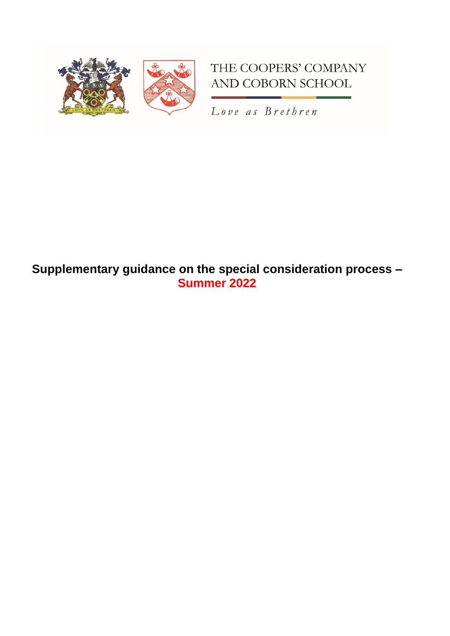

# THE COOPERS' COMPANY AND COBORN SCHOOL

Love as Brethren

## **Supplementary guidance on the special consideration process – Summer 2022**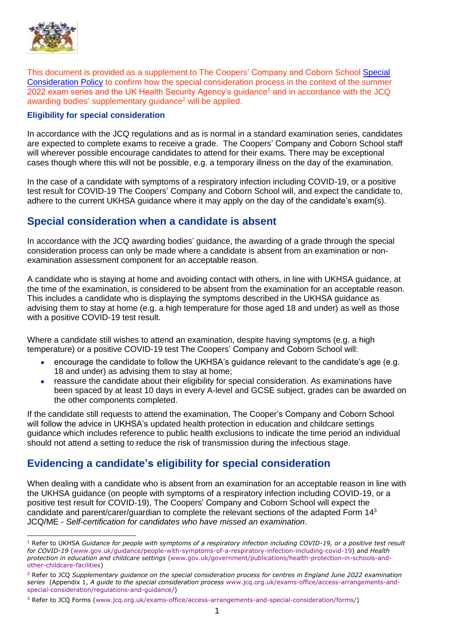

This document is provided as a supplement to The Coopers' Company and Coborn School [Special](https://www.cooperscoborn.org.uk/wp-content/uploads/2022/04/Special-consideration.pdf)  [Consideration Policy](https://www.cooperscoborn.org.uk/wp-content/uploads/2022/04/Special-consideration.pdf) to confirm how the special consideration process in the context of the summer 2022 exam series and the UK Health Security Agency's guidance<sup>1</sup> and in accordance with the JCQ awarding bodies' supplementary quidance<sup>2</sup> will be applied.

#### **Eligibility for special consideration**

In accordance with the JCQ regulations and as is normal in a standard examination series, candidates are expected to complete exams to receive a grade. The Coopers' Company and Coborn School staff will wherever possible encourage candidates to attend for their exams. There may be exceptional cases though where this will not be possible, e.g. a temporary illness on the day of the examination.

In the case of a candidate with symptoms of a respiratory infection including COVID-19, or a positive test result for COVID-19 The Coopers' Company and Coborn School will, and expect the candidate to, adhere to the current UKHSA guidance where it may apply on the day of the candidate's exam(s).

#### **Special consideration when a candidate is absent**

In accordance with the JCQ awarding bodies' guidance, the awarding of a grade through the special consideration process can only be made where a candidate is absent from an examination or nonexamination assessment component for an acceptable reason.

A candidate who is staying at home and avoiding contact with others, in line with UKHSA guidance, at the time of the examination, is considered to be absent from the examination for an acceptable reason. This includes a candidate who is displaying the symptoms described in the UKHSA guidance as advising them to stay at home (e.g. a high temperature for those aged 18 and under) as well as those with a positive COVID-19 test result.

Where a candidate still wishes to attend an examination, despite having symptoms (e.g. a high temperature) or a positive COVID-19 test The Coopers' Company and Coborn School will:

- encourage the candidate to follow the UKHSA's guidance relevant to the candidate's age (e.g. 18 and under) as advising them to stay at home;
- reassure the candidate about their eligibility for special consideration. As examinations have been spaced by at least 10 days in every A-level and GCSE subject, grades can be awarded on the other components completed.

If the candidate still requests to attend the examination, The Cooper's Company and Coborn School will follow the advice in UKHSA's updated health protection in education and childcare settings guidance which includes reference to public health exclusions to indicate the time period an individual should not attend a setting to reduce the risk of transmission during the infectious stage.

### **Evidencing a candidate's eligibility for special consideration**

When dealing with a candidate who is absent from an examination for an acceptable reason in line with the UKHSA guidance (on people with symptoms of a respiratory infection including COVID-19, or a positive test result for COVID-19), The Coopers' Company and Coborn School will expect the candidate and parent/carer/guardian to complete the relevant sections of the adapted Form 14<sup>3</sup> JCQ/ME - *Self-certification for candidates who have missed an examination*.

<sup>-</sup><sup>1</sup> Refer to UKHSA *Guidance for people with symptoms of a respiratory infection including COVID-19, or a positive test result for COVID-19* [\(www.gov.uk/guidance/people-with-symptoms-of-a-respiratory-infection-including-covid-19\)](http://www.gov.uk/guidance/people-with-symptoms-of-a-respiratory-infection-including-covid-19) and *Health protection in education and childcare settings* [\(www.gov.uk/government/publications/health-protection-in-schools-and](https://www.gov.uk/government/publications/health-protection-in-schools-and-other-childcare-facilities)[other-childcare-facilities\)](https://www.gov.uk/government/publications/health-protection-in-schools-and-other-childcare-facilities)

<sup>2</sup> Refer to JCQ *Supplementary guidance on the special consideration process for centres in England June 2022 examination series* (Appendix 1, *A guide to the special consideration process* [www.jcq.org.uk/exams-office/access-arrangements-and](http://www.jcq.org.uk/exams-office/access-arrangements-and-special-consideration/regulations-and-guidance/)[special-consideration/regulations-and-guidance/\)](http://www.jcq.org.uk/exams-office/access-arrangements-and-special-consideration/regulations-and-guidance/)

<sup>3</sup> Refer to JCQ Forms [\(www.jcq.org.uk/exams-office/access-arrangements-and-special-consideration/forms/\)](https://www.jcq.org.uk/exams-office/access-arrangements-and-special-consideration/forms/)